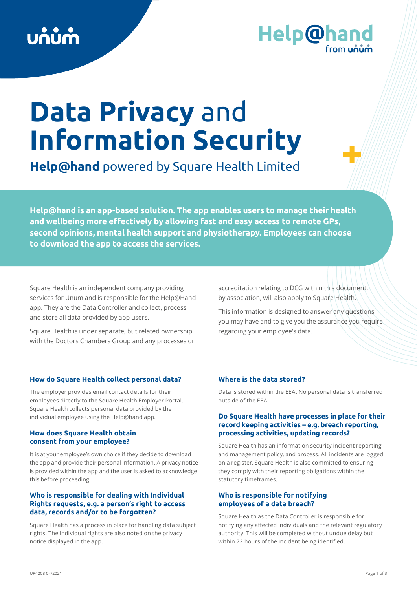# **Help@hand**

## **Data Privacy** and **Information Security**

**Help@hand** powered by Square Health Limited

**Help@hand is an app-based solution. The app enables users to manage their health and wellbeing more effectively by allowing fast and easy access to remote GPs, second opinions, mental health support and physiotherapy. Employees can choose to download the app to access the services.**

Square Health is an independent company providing services for Unum and is responsible for the Help@Hand app. They are the Data Controller and collect, process and store all data provided by app users.

Square Health is under separate, but related ownership with the Doctors Chambers Group and any processes or accreditation relating to DCG within this document, by association, will also apply to Square Health.

This information is designed to answer any questions you may have and to give you the assurance you require regarding your employee's data.

### **How do Square Health collect personal data?**

The employer provides email contact details for their employees directly to the Square Health Employer Portal. Square Health collects personal data provided by the individual employee using the Help@hand app.

#### **How does Square Health obtain consent from your employee?**

It is at your employee's own choice if they decide to download the app and provide their personal information. A privacy notice is provided within the app and the user is asked to acknowledge this before proceeding.

#### **Who is responsible for dealing with Individual Rights requests, e.g. a person's right to access data, records and/or to be forgotten?**

Square Health has a process in place for handling data subject rights. The individual rights are also noted on the privacy notice displayed in the app.

## **Where is the data stored?**

Data is stored within the EEA. No personal data is transferred outside of the EEA.

### **Do Square Health have processes in place for their record keeping activities – e.g. breach reporting, processing activities, updating records?**

Square Health has an information security incident reporting and management policy, and process. All incidents are logged on a register. Square Health is also committed to ensuring they comply with their reporting obligations within the statutory timeframes.

### **Who is responsible for notifying employees of a data breach?**

Square Health as the Data Controller is responsible for notifying any affected individuals and the relevant regulatory authority. This will be completed without undue delay but within 72 hours of the incident being identified.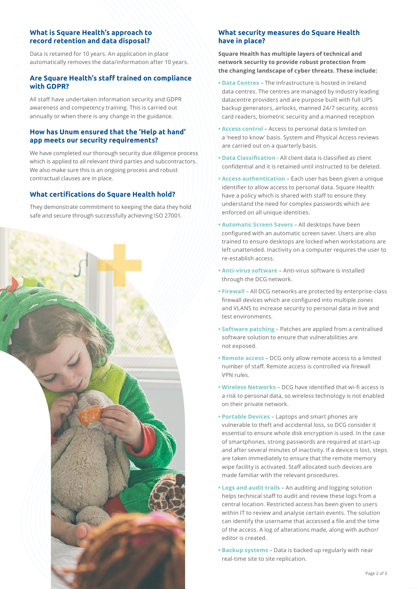## **What is Square Health's approach to record retention and data disposal?**

Data is retained for 10 years. An application in place automatically removes the data/information after 10 years.

#### **Are Square Health's staff trained on compliance with GDPR?**

All staff have undertaken information security and GDPR awareness and competency training. This is carried out annually or when there is any change in the guidance.

#### **How has Unum ensured that the 'Help at hand' app meets our security requirements?**

We have completed our thorough security due diligence process which is applied to all relevant third parties and subcontractors. We also make sure this is an ongoing process and robust contractual clauses are in place.

## **What certifications do Square Health hold?**

They demonstrate commitment to keeping the data they hold safe and secure through successfully achieving ISO 27001.



## **What security measures do Square Health have in place?**

**Square Health has multiple layers of technical and network security to provide robust protection from the changing landscape of cyber threats. These include:**

- **Data Centres** The infrastructure is hosted in Ireland data centres. The centres are managed by industry leading datacentre providers and are purpose built with full UPS backup generators, airlocks, manned 24/7 security, access card readers, biometric security and a manned reception
- **Access control**  Access to personal data is limited on a 'need to know' basis. System and Physical Access reviews are carried out on a quarterly basis.
- **Data Classification** All client data is classified as client confidential and it is retained until instructed to be deleted.
- **Access authentication** Each user has been given a unique identifier to allow access to personal data. Square Health have a policy which is shared with staff to ensure they understand the need for complex passwords which are enforced on all unique identities.
- **Automatic Screen Savers** All desktops have been configured with an automatic screen saver. Users are also trained to ensure desktops are locked when workstations are left unattended. Inactivity on a computer requires the user to re-establish access.
- **Anti-virus software** Anti-virus software is installed through the DCG network.
- **Firewall**  All DCG networks are protected by enterprise-class firewall devices which are configured into multiple zones and VLANS to increase security to personal data in live and test environments.
- **Software patching** Patches are applied from a centralised software solution to ensure that vulnerabilities are not exposed.
- **Remote access** DCG only allow remote access to a limited number of staff. Remote access is controlled via firewall VPN rules.
- **Wireless Networks** DCG have identified that wi-fi access is a risk to personal data, so wireless technology is not enabled on their private network.
- **Portable Devices** Laptops and smart phones are vulnerable to theft and accidental loss, so DCG consider it essential to ensure whole disk encryption is used. In the case of smartphones, strong passwords are required at start-up and after several minutes of inactivity. If a device is lost, steps are taken immediately to ensure that the remote memory wipe facility is activated. Staff allocated such devices are made familiar with the relevant procedures.
- **Logs and audit trails** An auditing and logging solution helps technical staff to audit and review these logs from a central location. Restricted access has been given to users within IT to review and analyse certain events. The solution can identify the username that accessed a file and the time of the access. A log of alterations made, along with author/ editor is created.
- **Backup systems** Data is backed up regularly with near real-time site to site replication.